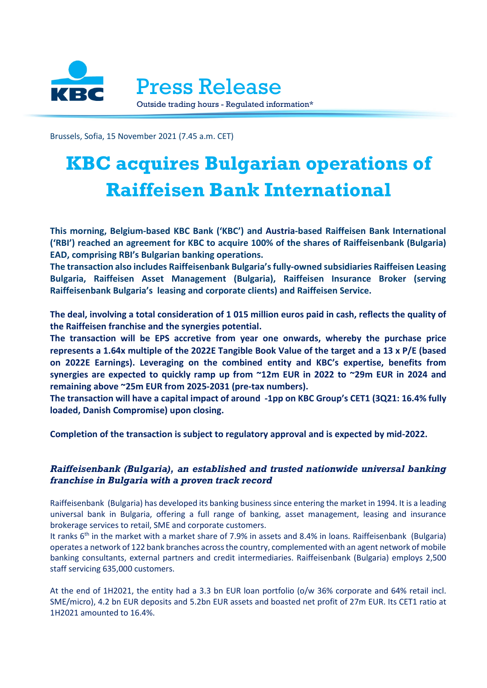

Brussels, Sofia, 15 November 2021 (7.45 a.m. CET)

## **KBC acquires Bulgarian operations of Raiffeisen Bank International**

**This morning, Belgium-based KBC Bank ('KBC') and Austria-based Raiffeisen Bank International ('RBI') reached an agreement for KBC to acquire 100% of the shares of Raiffeisenbank (Bulgaria) EAD, comprising RBI's Bulgarian banking operations.**

**The transaction also includes Raiffeisenbank Bulgaria's fully-owned subsidiaries Raiffeisen Leasing Bulgaria, Raiffeisen Asset Management (Bulgaria), Raiffeisen Insurance Broker (serving Raiffeisenbank Bulgaria's leasing and corporate clients) and Raiffeisen Service.**

**The deal, involving a total consideration of 1 015 million euros paid in cash, reflects the quality of the Raiffeisen franchise and the synergies potential.** 

**The transaction will be EPS accretive from year one onwards, whereby the purchase price represents a 1.64x multiple of the 2022E Tangible Book Value of the target and a 13 x P/E (based on 2022E Earnings). Leveraging on the combined entity and KBC's expertise, benefits from synergies are expected to quickly ramp up from ~12m EUR in 2022 to ~29m EUR in 2024 and remaining above ~25m EUR from 2025-2031 (pre-tax numbers).**

**The transaction will have a capital impact of around -1pp on KBC Group's CET1 (3Q21: 16.4% fully loaded, Danish Compromise) upon closing.**

**Completion of the transaction is subject to regulatory approval and is expected by mid-2022.**

## *Raiffeisenbank (Bulgaria), an established and trusted nationwide universal banking franchise in Bulgaria with a proven track record*

Raiffeisenbank (Bulgaria) has developed its banking business since entering the market in 1994. It is a leading universal bank in Bulgaria, offering a full range of banking, asset management, leasing and insurance brokerage services to retail, SME and corporate customers.

It ranks 6<sup>th</sup> in the market with a market share of 7.9% in assets and 8.4% in loans. Raiffeisenbank (Bulgaria) operates a network of 122 bank branches across the country, complemented with an agent network of mobile banking consultants, external partners and credit intermediaries. Raiffeisenbank (Bulgaria) employs 2,500 staff servicing 635,000 customers.

At the end of 1H2021, the entity had a 3.3 bn EUR loan portfolio (o/w 36% corporate and 64% retail incl. SME/micro), 4.2 bn EUR deposits and 5.2bn EUR assets and boasted net profit of 27m EUR. Its CET1 ratio at 1H2021 amounted to 16.4%.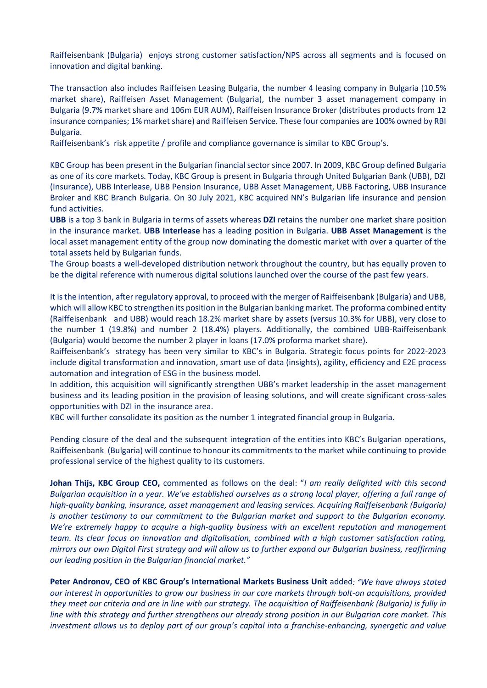Raiffeisenbank (Bulgaria) enjoys strong customer satisfaction/NPS across all segments and is focused on innovation and digital banking.

The transaction also includes Raiffeisen Leasing Bulgaria, the number 4 leasing company in Bulgaria (10.5% market share), Raiffeisen Asset Management (Bulgaria), the number 3 asset management company in Bulgaria (9.7% market share and 106m EUR AUM), Raiffeisen Insurance Broker (distributes products from 12 insurance companies; 1% market share) and Raiffeisen Service. These four companies are 100% owned by RBI Bulgaria.

Raiffeisenbank's risk appetite / profile and compliance governance is similar to KBC Group's.

KBC Group has been present in the Bulgarian financial sector since 2007. In 2009, KBC Group defined Bulgaria as one of its core markets*.* Today, KBC Group is present in Bulgaria through United Bulgarian Bank (UBB), DZI (Insurance), UBB Interlease, UBB Pension Insurance, UBB Asset Management, UBB Factoring, UBB Insurance Broker and KBC Branch Bulgaria. On 30 July 2021, KBC acquired NN's Bulgarian life insurance and pension fund activities.

**UBB** is a top 3 bank in Bulgaria in terms of assets whereas **DZI** retains the number one market share position in the insurance market. **UBB Interlease** has a leading position in Bulgaria. **UBB Asset Management** is the local asset management entity of the group now dominating the domestic market with over a quarter of the total assets held by Bulgarian funds.

The Group boasts a well-developed distribution network throughout the country, but has equally proven to be the digital reference with numerous digital solutions launched over the course of the past few years.

It is the intention, after regulatory approval, to proceed with the merger of Raiffeisenbank (Bulgaria) and UBB, which will allow KBC to strengthen its position in the Bulgarian banking market. The proforma combined entity (Raiffeisenbank and UBB) would reach 18.2% market share by assets (versus 10.3% for UBB), very close to the number 1 (19.8%) and number 2 (18.4%) players. Additionally, the combined UBB-Raiffeisenbank (Bulgaria) would become the number 2 player in loans (17.0% proforma market share).

Raiffeisenbank's strategy has been very similar to KBC's in Bulgaria. Strategic focus points for 2022-2023 include digital transformation and innovation, smart use of data (insights), agility, efficiency and E2E process automation and integration of ESG in the business model.

In addition, this acquisition will significantly strengthen UBB's market leadership in the asset management business and its leading position in the provision of leasing solutions, and will create significant cross-sales opportunities with DZI in the insurance area.

KBC will further consolidate its position as the number 1 integrated financial group in Bulgaria.

Pending closure of the deal and the subsequent integration of the entities into KBC's Bulgarian operations, Raiffeisenbank (Bulgaria) will continue to honour its commitments to the market while continuing to provide professional service of the highest quality to its customers.

**Johan Thijs, KBC Group CEO,** commented as follows on the deal: "*I am really delighted with this second Bulgarian acquisition in a year. We've established ourselves as a strong local player, offering a full range of high-quality banking, insurance, asset management and leasing services. Acquiring Raiffeisenbank (Bulgaria) is another testimony to our commitment to the Bulgarian market and support to the Bulgarian economy. We're extremely happy to acquire a high-quality business with an excellent reputation and management team. Its clear focus on innovation and digitalisation, combined with a high customer satisfaction rating, mirrors our own Digital First strategy and will allow us to further expand our Bulgarian business, reaffirming our leading position in the Bulgarian financial market."*

**Peter Andronov, CEO of KBC Group's International Markets Business Unit** added*: "We have always stated our interest in opportunities to grow our business in our core markets through bolt-on acquisitions, provided they meet our criteria and are in line with our strategy. The acquisition of Raiffeisenbank (Bulgaria) is fully in line with this strategy and further strengthens our already strong position in our Bulgarian core market. This investment allows us to deploy part of our group's capital into a franchise-enhancing, synergetic and value*